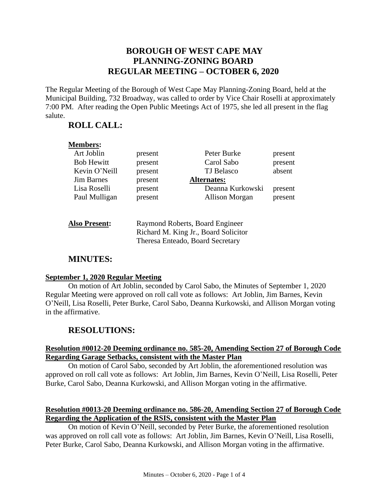# **BOROUGH OF WEST CAPE MAY PLANNING-ZONING BOARD REGULAR MEETING – OCTOBER 6, 2020**

The Regular Meeting of the Borough of West Cape May Planning-Zoning Board, held at the Municipal Building, 732 Broadway, was called to order by Vice Chair Roselli at approximately 7:00 PM. After reading the Open Public Meetings Act of 1975, she led all present in the flag salute.

## **ROLL CALL:**

# **Members:**

| Art Joblin        | present | Peter Burke           | present |
|-------------------|---------|-----------------------|---------|
| <b>Bob Hewitt</b> | present | Carol Sabo            | present |
| Kevin O'Neill     | present | TJ Belasco            | absent  |
| <b>Jim Barnes</b> | present | <b>Alternates:</b>    |         |
| Lisa Roselli      | present | Deanna Kurkowski      | present |
| Paul Mulligan     | present | <b>Allison Morgan</b> | present |
|                   |         |                       |         |

| <b>Also Present:</b> | Raymond Roberts, Board Engineer      |
|----------------------|--------------------------------------|
|                      | Richard M. King Jr., Board Solicitor |
|                      | Theresa Enteado, Board Secretary     |

# **MINUTES:**

#### **September 1, 2020 Regular Meeting**

On motion of Art Joblin, seconded by Carol Sabo, the Minutes of September 1, 2020 Regular Meeting were approved on roll call vote as follows: Art Joblin, Jim Barnes, Kevin O'Neill, Lisa Roselli, Peter Burke, Carol Sabo, Deanna Kurkowski, and Allison Morgan voting in the affirmative.

# **RESOLUTIONS:**

#### **Resolution #0012-20 Deeming ordinance no. 585-20, Amending Section 27 of Borough Code Regarding Garage Setbacks, consistent with the Master Plan**

On motion of Carol Sabo, seconded by Art Joblin, the aforementioned resolution was approved on roll call vote as follows: Art Joblin, Jim Barnes, Kevin O'Neill, Lisa Roselli, Peter Burke, Carol Sabo, Deanna Kurkowski, and Allison Morgan voting in the affirmative.

#### **Resolution #0013-20 Deeming ordinance no. 586-20, Amending Section 27 of Borough Code Regarding the Application of the RSIS, consistent with the Master Plan**

On motion of Kevin O'Neill, seconded by Peter Burke, the aforementioned resolution was approved on roll call vote as follows: Art Joblin, Jim Barnes, Kevin O'Neill, Lisa Roselli, Peter Burke, Carol Sabo, Deanna Kurkowski, and Allison Morgan voting in the affirmative.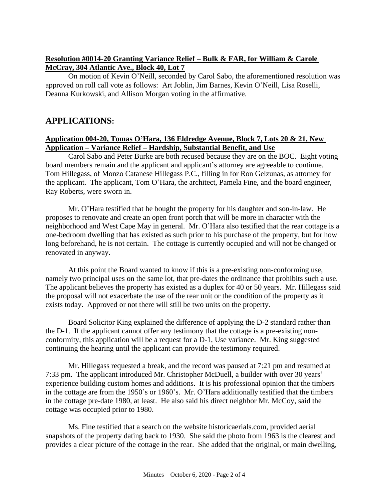#### **Resolution #0014-20 Granting Variance Relief – Bulk & FAR, for William & Carole McCray, 304 Atlantic Ave., Block 40, Lot 7**

On motion of Kevin O'Neill, seconded by Carol Sabo, the aforementioned resolution was approved on roll call vote as follows: Art Joblin, Jim Barnes, Kevin O'Neill, Lisa Roselli, Deanna Kurkowski, and Allison Morgan voting in the affirmative.

# **APPLICATIONS:**

#### **Application 004-20, Tomas O'Hara, 136 Eldredge Avenue, Block 7, Lots 20 & 21, New Application – Variance Relief – Hardship, Substantial Benefit, and Use**

Carol Sabo and Peter Burke are both recused because they are on the BOC. Eight voting board members remain and the applicant and applicant's attorney are agreeable to continue. Tom Hillegass, of Monzo Catanese Hillegass P.C., filling in for Ron Gelzunas, as attorney for the applicant. The applicant, Tom O'Hara, the architect, Pamela Fine, and the board engineer, Ray Roberts, were sworn in.

Mr. O'Hara testified that he bought the property for his daughter and son-in-law. He proposes to renovate and create an open front porch that will be more in character with the neighborhood and West Cape May in general. Mr. O'Hara also testified that the rear cottage is a one-bedroom dwelling that has existed as such prior to his purchase of the property, but for how long beforehand, he is not certain. The cottage is currently occupied and will not be changed or renovated in anyway.

At this point the Board wanted to know if this is a pre-existing non-conforming use, namely two principal uses on the same lot, that pre-dates the ordinance that prohibits such a use. The applicant believes the property has existed as a duplex for 40 or 50 years. Mr. Hillegass said the proposal will not exacerbate the use of the rear unit or the condition of the property as it exists today. Approved or not there will still be two units on the property.

Board Solicitor King explained the difference of applying the D-2 standard rather than the D-1. If the applicant cannot offer any testimony that the cottage is a pre-existing nonconformity, this application will be a request for a D-1, Use variance. Mr. King suggested continuing the hearing until the applicant can provide the testimony required.

Mr. Hillegass requested a break, and the record was paused at 7:21 pm and resumed at 7:33 pm. The applicant introduced Mr. Christopher McDuell, a builder with over 30 years' experience building custom homes and additions. It is his professional opinion that the timbers in the cottage are from the 1950's or 1960's. Mr. O'Hara additionally testified that the timbers in the cottage pre-date 1980, at least. He also said his direct neighbor Mr. McCoy, said the cottage was occupied prior to 1980.

Ms. Fine testified that a search on the website historicaerials.com, provided aerial snapshots of the property dating back to 1930. She said the photo from 1963 is the clearest and provides a clear picture of the cottage in the rear. She added that the original, or main dwelling,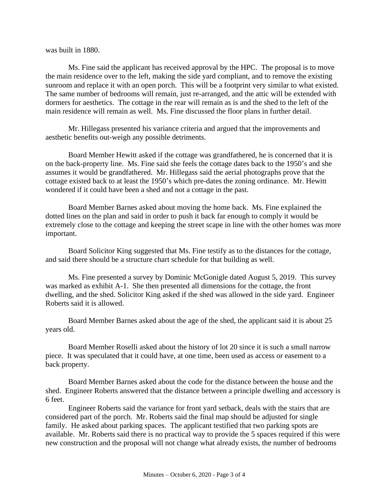was built in 1880.

Ms. Fine said the applicant has received approval by the HPC. The proposal is to move the main residence over to the left, making the side yard compliant, and to remove the existing sunroom and replace it with an open porch. This will be a footprint very similar to what existed. The same number of bedrooms will remain, just re-arranged, and the attic will be extended with dormers for aesthetics. The cottage in the rear will remain as is and the shed to the left of the main residence will remain as well. Ms. Fine discussed the floor plans in further detail.

Mr. Hillegass presented his variance criteria and argued that the improvements and aesthetic benefits out-weigh any possible detriments.

Board Member Hewitt asked if the cottage was grandfathered, he is concerned that it is on the back-property line. Ms. Fine said she feels the cottage dates back to the 1950's and she assumes it would be grandfathered. Mr. Hillegass said the aerial photographs prove that the cottage existed back to at least the 1950's which pre-dates the zoning ordinance. Mr. Hewitt wondered if it could have been a shed and not a cottage in the past.

Board Member Barnes asked about moving the home back. Ms. Fine explained the dotted lines on the plan and said in order to push it back far enough to comply it would be extremely close to the cottage and keeping the street scape in line with the other homes was more important.

Board Solicitor King suggested that Ms. Fine testify as to the distances for the cottage, and said there should be a structure chart schedule for that building as well.

Ms. Fine presented a survey by Dominic McGonigle dated August 5, 2019. This survey was marked as exhibit A-1. She then presented all dimensions for the cottage, the front dwelling, and the shed. Solicitor King asked if the shed was allowed in the side yard. Engineer Roberts said it is allowed.

Board Member Barnes asked about the age of the shed, the applicant said it is about 25 years old.

Board Member Roselli asked about the history of lot 20 since it is such a small narrow piece. It was speculated that it could have, at one time, been used as access or easement to a back property.

Board Member Barnes asked about the code for the distance between the house and the shed. Engineer Roberts answered that the distance between a principle dwelling and accessory is 6 feet.

Engineer Roberts said the variance for front yard setback, deals with the stairs that are considered part of the porch. Mr. Roberts said the final map should be adjusted for single family. He asked about parking spaces. The applicant testified that two parking spots are available. Mr. Roberts said there is no practical way to provide the 5 spaces required if this were new construction and the proposal will not change what already exists, the number of bedrooms